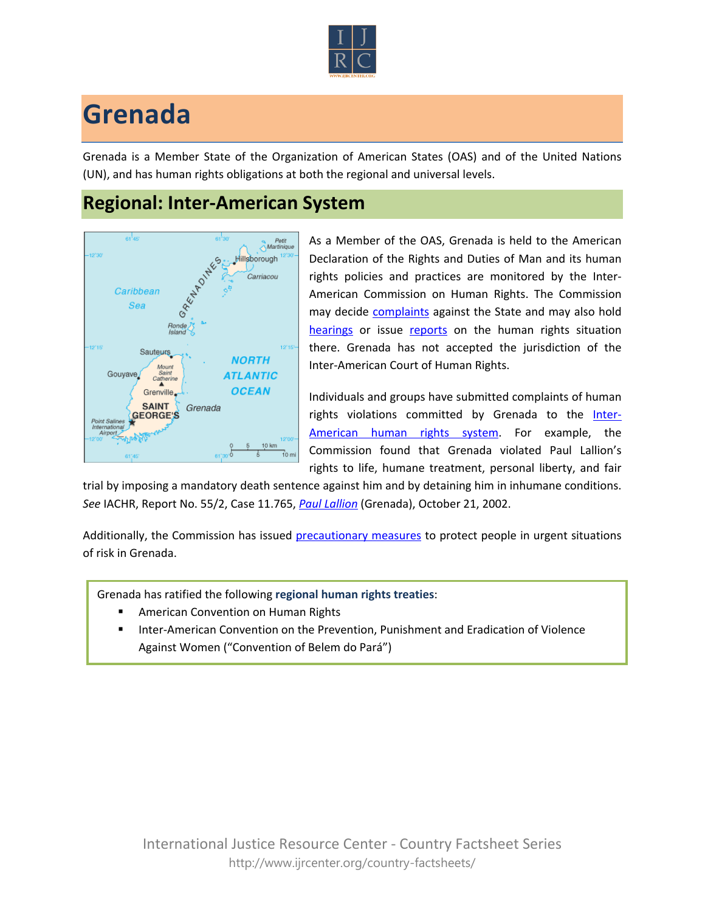

## **Grenada**

Grenada is a Member State of the Organization of American States (OAS) and of the United Nations (UN), and has human rights obligations at both the regional and universal levels.

## **Regional: Inter-American System**



As a Member of the OAS, Grenada is held to the American Declaration of the Rights and Duties of Man and its human rights policies and practices are monitored by the Inter-American Commission on Human Rights. The Commission may decide [complaints](http://www.oas.org/en/iachr/decisions/merits.asp) against the State and may also hold [hearings](http://www.oas.org/es/cidh/audiencias/advanced.aspx?lang=en) or issue [reports](http://www.oas.org/en/iachr/reports/country.asp) on the human rights situation there. Grenada has not accepted the jurisdiction of the Inter-American Court of Human Rights.

Individuals and groups have submitted complaints of human rights violations committed by Grenada to the [Inter-](http://www.ijrcenter.org/regional/inter-american-system/)[American human rights system](http://www.ijrcenter.org/regional/inter-american-system/). For example, the Commission found that Grenada violated Paul Lallion's rights to life, humane treatment, personal liberty, and fair

trial by imposing a mandatory death sentence against him and by detaining him in inhumane conditions. *See* IACHR, Report No. 55/2, Case 11.765, *[Paul Lallion](http://cidh.org/annualrep/2002eng/Grenada.11765a.htm)* (Grenada), October 21, 2002.

Additionally, the Commission has issued [precautionary measures](http://www.cidh.org/medidas/2000.eng.htm) to protect people in urgent situations of risk in Grenada.

Grenada has ratified the following **regional human rights treaties**:

- American Convention on Human Rights
- **Inter-American Convention on the Prevention, Punishment and Eradication of Violence** Against Women ("Convention of Belem do Pará")